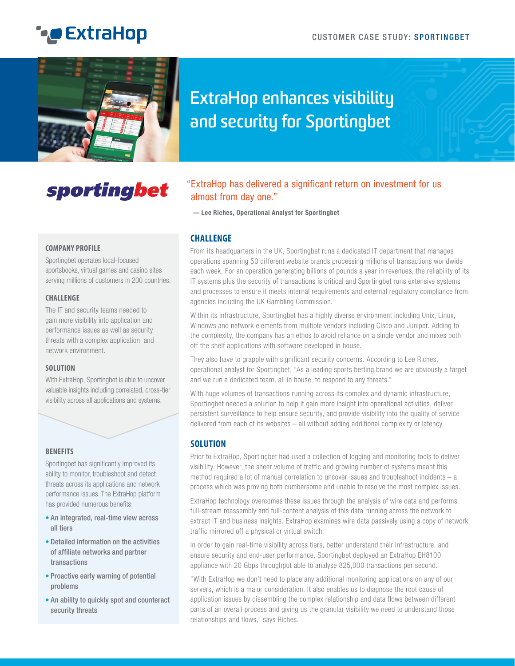# **ExtraHop**



## **ExtraHop enhances visibility and security for Sportingbet**

## sportingbet

### "ExtraHop has delivered a significant return on investment for us almost from day one."

**— Lee Riches, Operational Analyst for Sportingbet**

#### **CHALLENGE**

From its headquarters in the UK, Sportingbet runs a dedicated IT department that manages operations spanning 50 different website brands processing millions of transactions worldwide each week. For an operation generating billions of pounds a year in revenues, the reliability of its IT systems plus the security of transactions is critical and Sportingbet runs extensive systems and processes to ensure it meets internal requirements and external regulatory compliance from agencies including the UK Gambling Commission.

Within its infrastructure, Sportingbet has a highly diverse environment including Unix, Linux, Windows and network elements from multiple vendors including Cisco and Juniper. Adding to the complexity, the company has an ethos to avoid reliance on a single vendor and mixes both off the shelf applications with software developed in house.

They also have to grapple with significant security concerns. According to Lee Riches, operational analyst for Sportingbet, "As a leading sports betting brand we are obviously a target and we run a dedicated team, all in house, to respond to any threats."

With huge volumes of transactions running across its complex and dynamic infrastructure, Sportingbet needed a solution to help it gain more insight into operational activities, deliver persistent surveillance to help ensure security, and provide visibility into the quality of service delivered from each of its websites – all without adding additional complexity or latency.

### **SOLUTION**

Prior to ExtraHop, Sportingbet had used a collection of logging and monitoring tools to deliver visibility. However, the sheer volume of traffic and growing number of systems meant this method required a lot of manual correlation to uncover issues and troubleshoot incidents – a process which was proving both cumbersome and unable to resolve the most complex issues.

ExtraHop technology overcomes these issues through the analysis of wire data and performs full-stream reassembly and full-content analysis of this data running across the network to extract IT and business insights. ExtraHop examines wire data passively using a copy of network traffic mirrored off a physical or virtual switch.

In order to gain real-time visibility across tiers, better understand their infrastructure, and ensure security and end-user performance, Sportingbet deployed an ExtraHop EH8100 appliance with 20 Gbps throughput able to analyse 825,000 transactions per second.

"With ExtraHop we don't need to place any additional monitoring applications on any of our servers, which is a major consideration. It also enables us to diagnose the root cause of application issues by dissembling the complex relationship and data flows between different parts of an overall process and giving us the granular visibility we need to understand those relationships and flows," says Riches.

#### **COMPANY PROFILE**

Sportingbet operates local-focused sportsbooks, virtual games and casino sites serving millions of customers in 200 countries.

#### **CHALLENGE**

The IT and security teams needed to gain more visibility into application and performance issues as well as security threats with a complex application and network environment.

#### **SOLUTION**

With ExtraHop, Sportingbet is able to uncover valuable insights including correlated, cross-tier visibility across all applications and systems.

#### **BENEFITS**

Sportingbet has significantly improved its ability to monitor, troubleshoot and detect threats across its applications and network performance issues. The ExtraHop platform has provided numerous benefits:

- An integrated, real-time view across all tiers
- Detailed information on the activities of affiliate networks and partner transactions
- Proactive early warning of potential problems
- An ability to quickly spot and counteract security threats